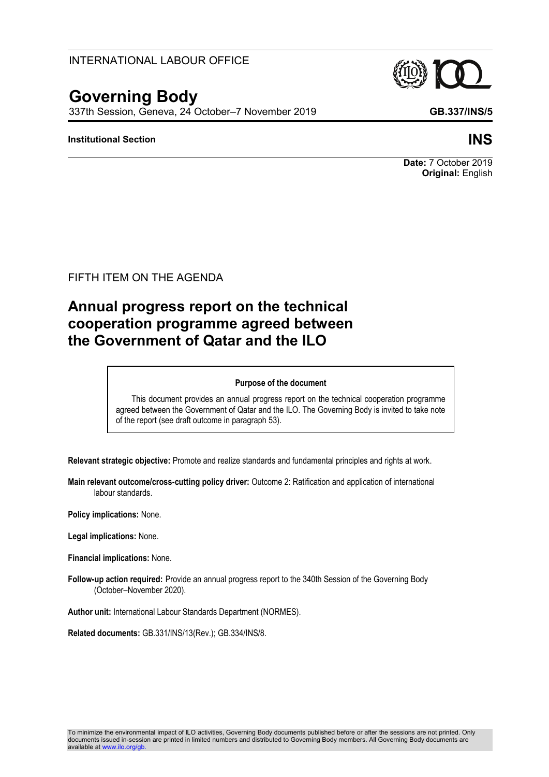## INTERNATIONAL LABOUR OFFICE

# **Governing Body**

337th Session, Geneva, 24 October–7 November 2019 **GB.337/INS/5**

#### **Institutional Section INS**

**Date:** 7 October 2019 **Original:** English

FIFTH ITEM ON THE AGENDA

# **Annual progress report on the technical cooperation programme agreed between the Government of Qatar and the ILO**

#### **Purpose of the document**

This document provides an annual progress report on the technical cooperation programme agreed between the Government of Qatar and the ILO. The Governing Body is invited to take note of the report (see draft outcome in paragraph 53).

**Relevant strategic objective:** Promote and realize standards and fundamental principles and rights at work.

**Main relevant outcome/cross-cutting policy driver:** Outcome 2: Ratification and application of international labour standards.

**Policy implications:** None.

**Legal implications:** None.

**Financial implications:** None.

**Follow-up action required:** Provide an annual progress report to the 340th Session of the Governing Body (October–November 2020).

**Author unit:** International Labour Standards Department (NORMES).

**Related documents:** GB.331/INS/13(Rev.); GB.334/INS/8.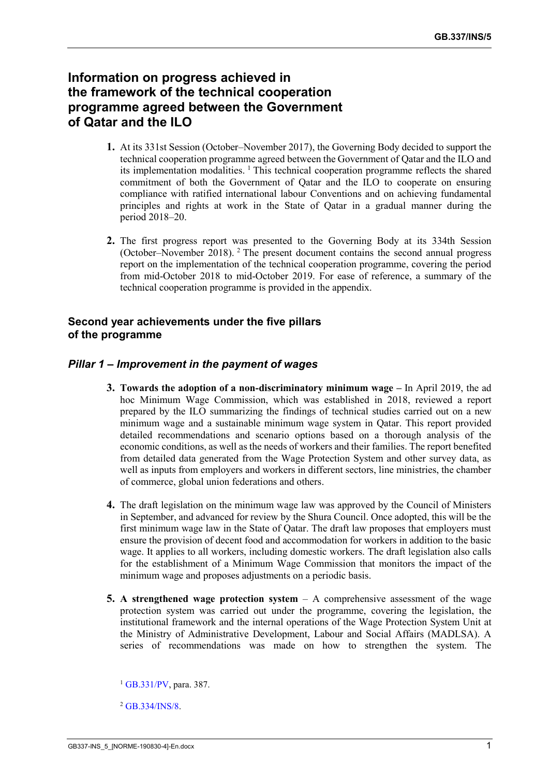# **Information on progress achieved in the framework of the technical cooperation programme agreed between the Government of Qatar and the ILO**

- **1.** At its 331st Session (October–November 2017), the Governing Body decided to support the technical cooperation programme agreed between the Government of Qatar and the ILO and its implementation modalities. <sup>1</sup> This technical cooperation programme reflects the shared commitment of both the Government of Qatar and the ILO to cooperate on ensuring compliance with ratified international labour Conventions and on achieving fundamental principles and rights at work in the State of Qatar in a gradual manner during the period 2018–20.
- **2.** The first progress report was presented to the Governing Body at its 334th Session (October–November 2018). <sup>2</sup> The present document contains the second annual progress report on the implementation of the technical cooperation programme, covering the period from mid-October 2018 to mid-October 2019. For ease of reference, a summary of the technical cooperation programme is provided in the appendix.

#### **Second year achievements under the five pillars of the programme**

#### *Pillar 1 – Improvement in the payment of wages*

- **3. Towards the adoption of a non-discriminatory minimum wage –** In April 2019, the ad hoc Minimum Wage Commission, which was established in 2018, reviewed a report prepared by the ILO summarizing the findings of technical studies carried out on a new minimum wage and a sustainable minimum wage system in Qatar. This report provided detailed recommendations and scenario options based on a thorough analysis of the economic conditions, as well as the needs of workers and their families. The report benefited from detailed data generated from the Wage Protection System and other survey data, as well as inputs from employers and workers in different sectors, line ministries, the chamber of commerce, global union federations and others.
- **4.** The draft legislation on the minimum wage law was approved by the Council of Ministers in September, and advanced for review by the Shura Council. Once adopted, this will be the first minimum wage law in the State of Qatar. The draft law proposes that employers must ensure the provision of decent food and accommodation for workers in addition to the basic wage. It applies to all workers, including domestic workers. The draft legislation also calls for the establishment of a Minimum Wage Commission that monitors the impact of the minimum wage and proposes adjustments on a periodic basis.
- **5. A strengthened wage protection system** A comprehensive assessment of the wage protection system was carried out under the programme, covering the legislation, the institutional framework and the internal operations of the Wage Protection System Unit at the Ministry of Administrative Development, Labour and Social Affairs (MADLSA). A series of recommendations was made on how to strengthen the system. The

<sup>1</sup> [GB.331/PV,](https://www.ilo.org/wcmsp5/groups/public/---ed_norm/---relconf/documents/meetingdocument/wcms_616103.pdf) para. 387.

<sup>2</sup> [GB.334/INS/8.](https://www.ilo.org/wcmsp5/groups/public/---ed_norm/---relconf/documents/meetingdocument/wcms_647832.pdf)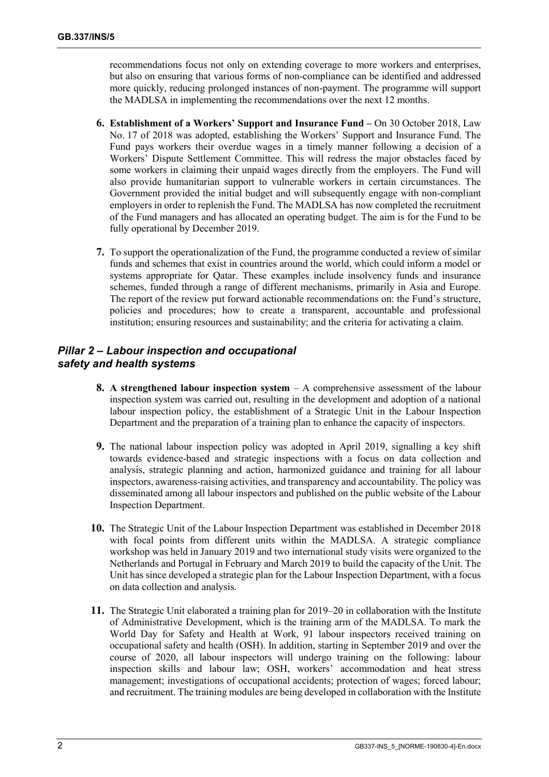recommendations focus not only on extending coverage to more workers and enterprises, but also on ensuring that various forms of non-compliance can be identified and addressed more quickly, reducing prolonged instances of non-payment. The programme will support the MADLSA in implementing the recommendations over the next 12 months.

- **6. Establishment of a Workers' Support and Insurance Fund –** On 30 October 2018, Law No. 17 of 2018 was adopted, establishing the Workers' Support and Insurance Fund. The Fund pays workers their overdue wages in a timely manner following a decision of a Workers' Dispute Settlement Committee. This will redress the major obstacles faced by some workers in claiming their unpaid wages directly from the employers. The Fund will also provide humanitarian support to vulnerable workers in certain circumstances. The Government provided the initial budget and will subsequently engage with non-compliant employers in order to replenish the Fund. The MADLSA has now completed the recruitment of the Fund managers and has allocated an operating budget. The aim is for the Fund to be fully operational by December 2019.
- **7.** To support the operationalization of the Fund, the programme conducted a review of similar funds and schemes that exist in countries around the world, which could inform a model or systems appropriate for Qatar. These examples include insolvency funds and insurance schemes, funded through a range of different mechanisms, primarily in Asia and Europe. The report of the review put forward actionable recommendations on: the Fund's structure, policies and procedures; how to create a transparent, accountable and professional institution; ensuring resources and sustainability; and the criteria for activating a claim.

#### *Pillar 2 – Labour inspection and occupational safety and health systems*

- **8. A strengthened labour inspection system** A comprehensive assessment of the labour inspection system was carried out, resulting in the development and adoption of a national labour inspection policy, the establishment of a Strategic Unit in the Labour Inspection Department and the preparation of a training plan to enhance the capacity of inspectors.
- **9.** The national labour inspection policy was adopted in April 2019, signalling a key shift towards evidence-based and strategic inspections with a focus on data collection and analysis, strategic planning and action, harmonized guidance and training for all labour inspectors, awareness-raising activities, and transparency and accountability. The policy was disseminated among all labour inspectors and published on the public website of the Labour Inspection Department.
- **10.** The Strategic Unit of the Labour Inspection Department was established in December 2018 with focal points from different units within the MADLSA. A strategic compliance workshop was held in January 2019 and two international study visits were organized to the Netherlands and Portugal in February and March 2019 to build the capacity of the Unit. The Unit has since developed a strategic plan for the Labour Inspection Department, with a focus on data collection and analysis.
- **11.** The Strategic Unit elaborated a training plan for 2019–20 in collaboration with the Institute of Administrative Development, which is the training arm of the MADLSA. To mark the World Day for Safety and Health at Work, 91 labour inspectors received training on occupational safety and health (OSH). In addition, starting in September 2019 and over the course of 2020, all labour inspectors will undergo training on the following: labour inspection skills and labour law; OSH, workers' accommodation and heat stress management; investigations of occupational accidents; protection of wages; forced labour; and recruitment. The training modules are being developed in collaboration with the Institute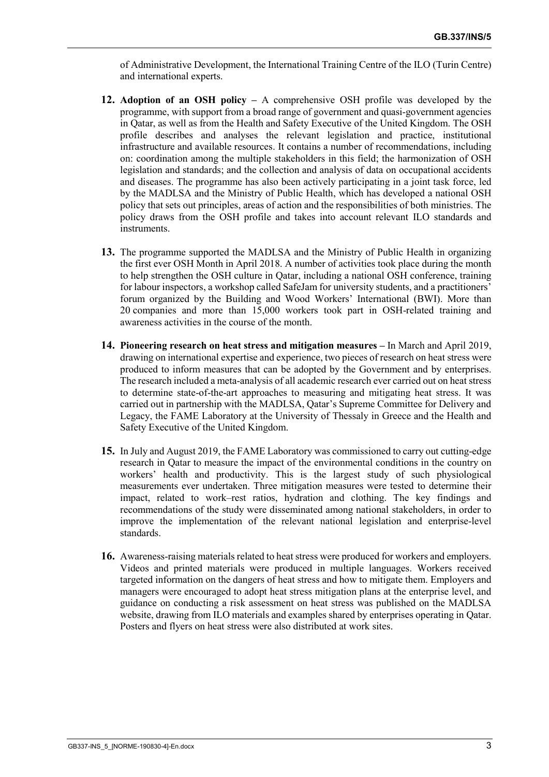of Administrative Development, the International Training Centre of the ILO (Turin Centre) and international experts.

- **12. Adoption of an OSH policy –** A comprehensive OSH profile was developed by the programme, with support from a broad range of government and quasi-government agencies in Qatar, as well as from the Health and Safety Executive of the United Kingdom. The OSH profile describes and analyses the relevant legislation and practice, institutional infrastructure and available resources. It contains a number of recommendations, including on: coordination among the multiple stakeholders in this field; the harmonization of OSH legislation and standards; and the collection and analysis of data on occupational accidents and diseases. The programme has also been actively participating in a joint task force, led by the MADLSA and the Ministry of Public Health, which has developed a national OSH policy that sets out principles, areas of action and the responsibilities of both ministries. The policy draws from the OSH profile and takes into account relevant ILO standards and instruments.
- **13.** The programme supported the MADLSA and the Ministry of Public Health in organizing the first ever OSH Month in April 2018. A number of activities took place during the month to help strengthen the OSH culture in Qatar, including a national OSH conference, training for labour inspectors, a workshop called SafeJam for university students, and a practitioners' forum organized by the Building and Wood Workers' International (BWI). More than 20 companies and more than 15,000 workers took part in OSH-related training and awareness activities in the course of the month.
- **14. Pioneering research on heat stress and mitigation measures –** In March and April 2019, drawing on international expertise and experience, two pieces of research on heat stress were produced to inform measures that can be adopted by the Government and by enterprises. The research included a meta-analysis of all academic research ever carried out on heat stress to determine state-of-the-art approaches to measuring and mitigating heat stress. It was carried out in partnership with the MADLSA, Qatar's Supreme Committee for Delivery and Legacy, the FAME Laboratory at the University of Thessaly in Greece and the Health and Safety Executive of the United Kingdom.
- **15.** In July and August 2019, the FAME Laboratory was commissioned to carry out cutting-edge research in Qatar to measure the impact of the environmental conditions in the country on workers' health and productivity. This is the largest study of such physiological measurements ever undertaken. Three mitigation measures were tested to determine their impact, related to work–rest ratios, hydration and clothing. The key findings and recommendations of the study were disseminated among national stakeholders, in order to improve the implementation of the relevant national legislation and enterprise-level standards.
- **16.** Awareness-raising materials related to heat stress were produced for workers and employers. Videos and printed materials were produced in multiple languages. Workers received targeted information on the dangers of heat stress and how to mitigate them. Employers and managers were encouraged to adopt heat stress mitigation plans at the enterprise level, and guidance on conducting a risk assessment on heat stress was published on the MADLSA website, drawing from ILO materials and examples shared by enterprises operating in Qatar. Posters and flyers on heat stress were also distributed at work sites.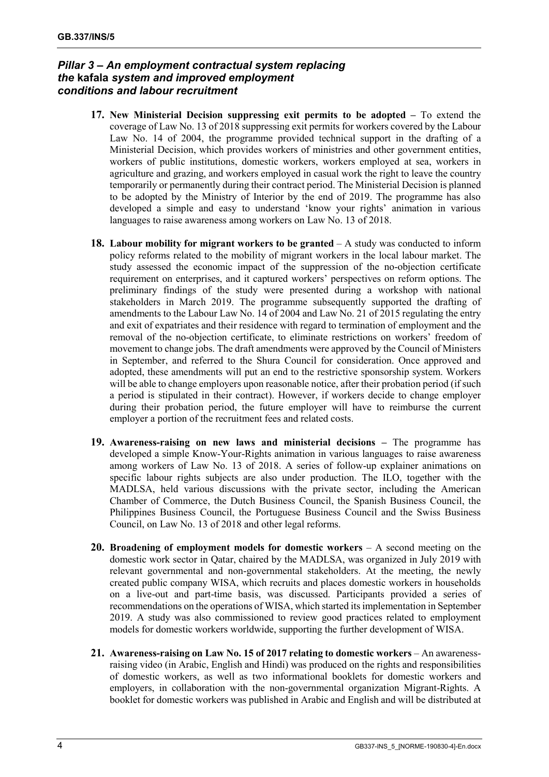### *Pillar 3 – An employment contractual system replacing the* **kafala** *system and improved employment conditions and labour recruitment*

- **17. New Ministerial Decision suppressing exit permits to be adopted –** To extend the coverage of Law No. 13 of 2018 suppressing exit permits for workers covered by the Labour Law No. 14 of 2004, the programme provided technical support in the drafting of a Ministerial Decision, which provides workers of ministries and other government entities, workers of public institutions, domestic workers, workers employed at sea, workers in agriculture and grazing, and workers employed in casual work the right to leave the country temporarily or permanently during their contract period. The Ministerial Decision is planned to be adopted by the Ministry of Interior by the end of 2019. The programme has also developed a simple and easy to understand 'know your rights' animation in various languages to raise awareness among workers on Law No. 13 of 2018.
- **18. Labour mobility for migrant workers to be granted** A study was conducted to inform policy reforms related to the mobility of migrant workers in the local labour market. The study assessed the economic impact of the suppression of the no-objection certificate requirement on enterprises, and it captured workers' perspectives on reform options. The preliminary findings of the study were presented during a workshop with national stakeholders in March 2019. The programme subsequently supported the drafting of amendments to the Labour Law No. 14 of 2004 and Law No. 21 of 2015 regulating the entry and exit of expatriates and their residence with regard to termination of employment and the removal of the no-objection certificate, to eliminate restrictions on workers' freedom of movement to change jobs. The draft amendments were approved by the Council of Ministers in September, and referred to the Shura Council for consideration. Once approved and adopted, these amendments will put an end to the restrictive sponsorship system. Workers will be able to change employers upon reasonable notice, after their probation period (if such a period is stipulated in their contract). However, if workers decide to change employer during their probation period, the future employer will have to reimburse the current employer a portion of the recruitment fees and related costs.
- **19. Awareness-raising on new laws and ministerial decisions –** The programme has developed a simple Know-Your-Rights animation in various languages to raise awareness among workers of Law No. 13 of 2018. A series of follow-up explainer animations on specific labour rights subjects are also under production. The ILO, together with the MADLSA, held various discussions with the private sector, including the American Chamber of Commerce, the Dutch Business Council, the Spanish Business Council, the Philippines Business Council, the Portuguese Business Council and the Swiss Business Council, on Law No. 13 of 2018 and other legal reforms.
- **20. Broadening of employment models for domestic workers** A second meeting on the domestic work sector in Qatar, chaired by the MADLSA, was organized in July 2019 with relevant governmental and non-governmental stakeholders. At the meeting, the newly created public company WISA, which recruits and places domestic workers in households on a live-out and part-time basis, was discussed. Participants provided a series of recommendations on the operations of WISA, which started itsimplementation in September 2019. A study was also commissioned to review good practices related to employment models for domestic workers worldwide, supporting the further development of WISA.
- **21. Awareness-raising on Law No. 15 of 2017 relating to domestic workers** An awarenessraising video (in Arabic, English and Hindi) was produced on the rights and responsibilities of domestic workers, as well as two informational booklets for domestic workers and employers, in collaboration with the non-governmental organization Migrant-Rights. A booklet for domestic workers was published in Arabic and English and will be distributed at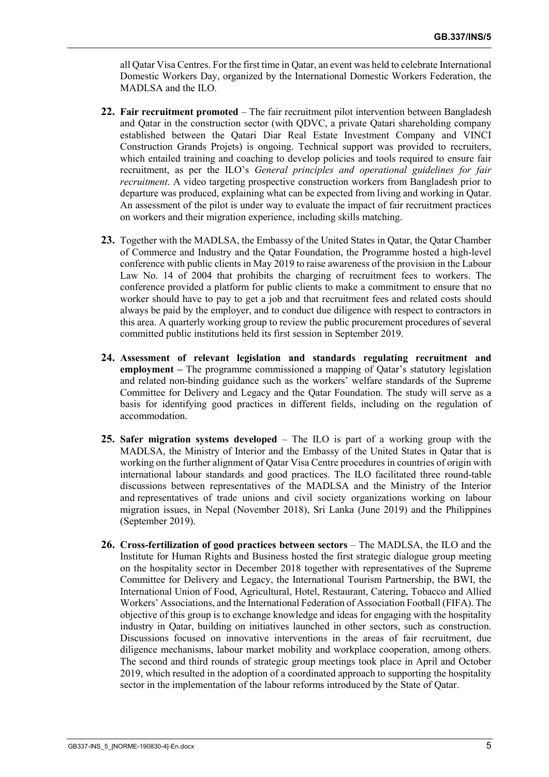all Qatar Visa Centres. For the first time in Qatar, an event was held to celebrate International Domestic Workers Day, organized by the International Domestic Workers Federation, the MADLSA and the ILO.

- **22. Fair recruitment promoted** The fair recruitment pilot intervention between Bangladesh and Qatar in the construction sector (with QDVC, a private Qatari shareholding company established between the Qatari Diar Real Estate Investment Company and VINCI Construction Grands Projets) is ongoing. Technical support was provided to recruiters, which entailed training and coaching to develop policies and tools required to ensure fair recruitment, as per the ILO's *General principles and operational guidelines for fair recruitment*. A video targeting prospective construction workers from Bangladesh prior to departure was produced, explaining what can be expected from living and working in Qatar. An assessment of the pilot is under way to evaluate the impact of fair recruitment practices on workers and their migration experience, including skills matching.
- **23.** Together with the MADLSA, the Embassy of the United States in Qatar, the Qatar Chamber of Commerce and Industry and the Qatar Foundation, the Programme hosted a high-level conference with public clients in May 2019 to raise awareness of the provision in the Labour Law No. 14 of 2004 that prohibits the charging of recruitment fees to workers. The conference provided a platform for public clients to make a commitment to ensure that no worker should have to pay to get a job and that recruitment fees and related costs should always be paid by the employer, and to conduct due diligence with respect to contractors in this area. A quarterly working group to review the public procurement procedures of several committed public institutions held its first session in September 2019.
- **24. Assessment of relevant legislation and standards regulating recruitment and employment –** The programme commissioned a mapping of Qatar's statutory legislation and related non-binding guidance such as the workers' welfare standards of the Supreme Committee for Delivery and Legacy and the Qatar Foundation. The study will serve as a basis for identifying good practices in different fields, including on the regulation of accommodation.
- **25. Safer migration systems developed** The ILO is part of a working group with the MADLSA, the Ministry of Interior and the Embassy of the United States in Qatar that is working on the further alignment of Qatar Visa Centre procedures in countries of origin with international labour standards and good practices. The ILO facilitated three round-table discussions between representatives of the MADLSA and the Ministry of the Interior and representatives of trade unions and civil society organizations working on labour migration issues, in Nepal (November 2018), Sri Lanka (June 2019) and the Philippines (September 2019).
- **26. Cross-fertilization of good practices between sectors** The MADLSA, the ILO and the Institute for Human Rights and Business hosted the first strategic dialogue group meeting on the hospitality sector in December 2018 together with representatives of the Supreme Committee for Delivery and Legacy, the International Tourism Partnership, the BWI, the International Union of Food, Agricultural, Hotel, Restaurant, Catering, Tobacco and Allied Workers' Associations, and the International Federation of Association Football (FIFA). The objective of this group is to exchange knowledge and ideas for engaging with the hospitality industry in Qatar, building on initiatives launched in other sectors, such as construction. Discussions focused on innovative interventions in the areas of fair recruitment, due diligence mechanisms, labour market mobility and workplace cooperation, among others. The second and third rounds of strategic group meetings took place in April and October 2019, which resulted in the adoption of a coordinated approach to supporting the hospitality sector in the implementation of the labour reforms introduced by the State of Qatar.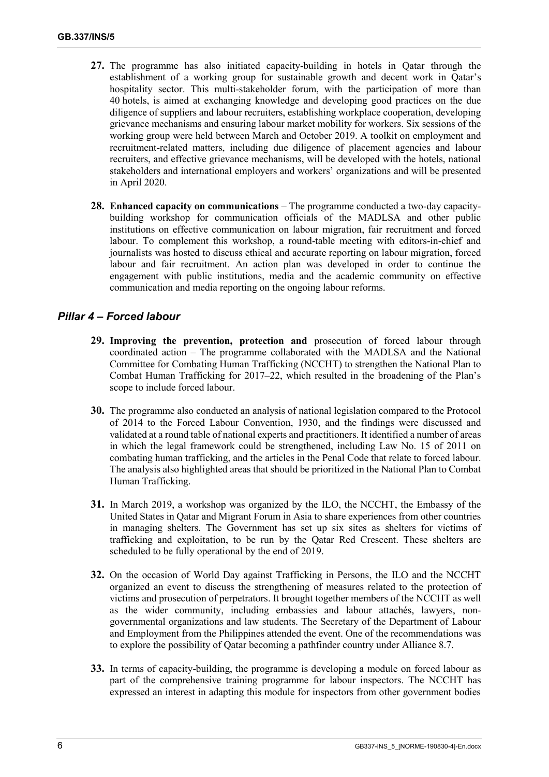- **27.** The programme has also initiated capacity-building in hotels in Qatar through the establishment of a working group for sustainable growth and decent work in Qatar's hospitality sector. This multi-stakeholder forum, with the participation of more than 40 hotels, is aimed at exchanging knowledge and developing good practices on the due diligence of suppliers and labour recruiters, establishing workplace cooperation, developing grievance mechanisms and ensuring labour market mobility for workers. Six sessions of the working group were held between March and October 2019. A toolkit on employment and recruitment-related matters, including due diligence of placement agencies and labour recruiters, and effective grievance mechanisms, will be developed with the hotels, national stakeholders and international employers and workers' organizations and will be presented in April 2020.
- **28. Enhanced capacity on communications** The programme conducted a two-day capacitybuilding workshop for communication officials of the MADLSA and other public institutions on effective communication on labour migration, fair recruitment and forced labour. To complement this workshop, a round-table meeting with editors-in-chief and journalists was hosted to discuss ethical and accurate reporting on labour migration, forced labour and fair recruitment. An action plan was developed in order to continue the engagement with public institutions, media and the academic community on effective communication and media reporting on the ongoing labour reforms.

## *Pillar 4 – Forced labour*

- **29. Improving the prevention, protection and** prosecution of forced labour through coordinated action – The programme collaborated with the MADLSA and the National Committee for Combating Human Trafficking (NCCHT) to strengthen the National Plan to Combat Human Trafficking for 2017–22, which resulted in the broadening of the Plan's scope to include forced labour.
- **30.** The programme also conducted an analysis of national legislation compared to the Protocol of 2014 to the Forced Labour Convention, 1930, and the findings were discussed and validated at a round table of national experts and practitioners. It identified a number of areas in which the legal framework could be strengthened, including Law No. 15 of 2011 on combating human trafficking, and the articles in the Penal Code that relate to forced labour. The analysis also highlighted areas that should be prioritized in the National Plan to Combat Human Trafficking.
- **31.** In March 2019, a workshop was organized by the ILO, the NCCHT, the Embassy of the United States in Qatar and Migrant Forum in Asia to share experiences from other countries in managing shelters. The Government has set up six sites as shelters for victims of trafficking and exploitation, to be run by the Qatar Red Crescent. These shelters are scheduled to be fully operational by the end of 2019.
- **32.** On the occasion of World Day against Trafficking in Persons, the ILO and the NCCHT organized an event to discuss the strengthening of measures related to the protection of victims and prosecution of perpetrators. It brought together members of the NCCHT as well as the wider community, including embassies and labour attachés, lawyers, nongovernmental organizations and law students. The Secretary of the Department of Labour and Employment from the Philippines attended the event. One of the recommendations was to explore the possibility of Qatar becoming a pathfinder country under Alliance 8.7.
- **33.** In terms of capacity-building, the programme is developing a module on forced labour as part of the comprehensive training programme for labour inspectors. The NCCHT has expressed an interest in adapting this module for inspectors from other government bodies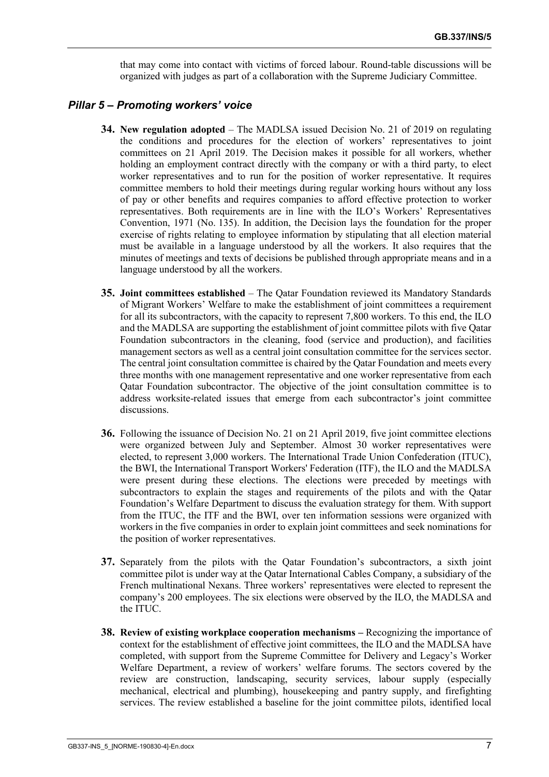that may come into contact with victims of forced labour. Round-table discussions will be organized with judges as part of a collaboration with the Supreme Judiciary Committee.

#### *Pillar 5 – Promoting workers' voice*

- **34. New regulation adopted** The MADLSA issued Decision No. 21 of 2019 on regulating the conditions and procedures for the election of workers' representatives to joint committees on 21 April 2019. The Decision makes it possible for all workers, whether holding an employment contract directly with the company or with a third party, to elect worker representatives and to run for the position of worker representative. It requires committee members to hold their meetings during regular working hours without any loss of pay or other benefits and requires companies to afford effective protection to worker representatives. Both requirements are in line with the ILO's Workers' Representatives Convention, 1971 (No. 135). In addition, the Decision lays the foundation for the proper exercise of rights relating to employee information by stipulating that all election material must be available in a language understood by all the workers. It also requires that the minutes of meetings and texts of decisions be published through appropriate means and in a language understood by all the workers.
- **35. Joint committees established** The Qatar Foundation reviewed its Mandatory Standards of Migrant Workers' Welfare to make the establishment of joint committees a requirement for all its subcontractors, with the capacity to represent 7,800 workers. To this end, the ILO and the MADLSA are supporting the establishment of joint committee pilots with five Qatar Foundation subcontractors in the cleaning, food (service and production), and facilities management sectors as well as a central joint consultation committee for the services sector. The central joint consultation committee is chaired by the Qatar Foundation and meets every three months with one management representative and one worker representative from each Qatar Foundation subcontractor. The objective of the joint consultation committee is to address worksite-related issues that emerge from each subcontractor's joint committee discussions.
- **36.** Following the issuance of Decision No. 21 on 21 April 2019, five joint committee elections were organized between July and September. Almost 30 worker representatives were elected, to represent 3,000 workers. The International Trade Union Confederation (ITUC), the BWI, the International Transport Workers' Federation (ITF), the ILO and the MADLSA were present during these elections. The elections were preceded by meetings with subcontractors to explain the stages and requirements of the pilots and with the Qatar Foundation's Welfare Department to discuss the evaluation strategy for them. With support from the ITUC, the ITF and the BWI, over ten information sessions were organized with workers in the five companies in order to explain joint committees and seek nominations for the position of worker representatives.
- **37.** Separately from the pilots with the Qatar Foundation's subcontractors, a sixth joint committee pilot is under way at the Qatar International Cables Company, a subsidiary of the French multinational Nexans. Three workers' representatives were elected to represent the company's 200 employees. The six elections were observed by the ILO, the MADLSA and the ITUC.
- **38. Review of existing workplace cooperation mechanisms –** Recognizing the importance of context for the establishment of effective joint committees, the ILO and the MADLSA have completed, with support from the Supreme Committee for Delivery and Legacy's Worker Welfare Department, a review of workers' welfare forums. The sectors covered by the review are construction, landscaping, security services, labour supply (especially mechanical, electrical and plumbing), housekeeping and pantry supply, and firefighting services. The review established a baseline for the joint committee pilots, identified local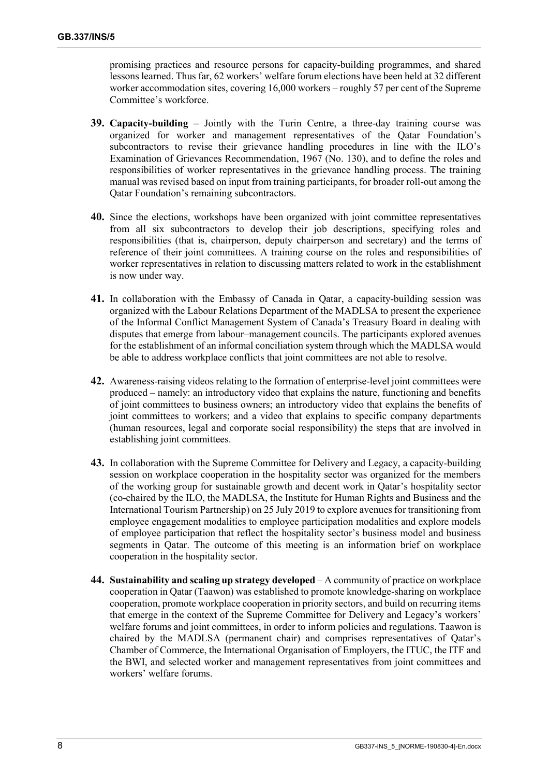promising practices and resource persons for capacity-building programmes, and shared lessons learned. Thus far, 62 workers' welfare forum elections have been held at 32 different worker accommodation sites, covering 16,000 workers – roughly 57 per cent of the Supreme Committee's workforce.

- **39. Capacity-building –** Jointly with the Turin Centre, a three-day training course was organized for worker and management representatives of the Qatar Foundation's subcontractors to revise their grievance handling procedures in line with the ILO's Examination of Grievances Recommendation, 1967 (No. 130), and to define the roles and responsibilities of worker representatives in the grievance handling process. The training manual was revised based on input from training participants, for broader roll-out among the Qatar Foundation's remaining subcontractors.
- **40.** Since the elections, workshops have been organized with joint committee representatives from all six subcontractors to develop their job descriptions, specifying roles and responsibilities (that is, chairperson, deputy chairperson and secretary) and the terms of reference of their joint committees. A training course on the roles and responsibilities of worker representatives in relation to discussing matters related to work in the establishment is now under way.
- **41.** In collaboration with the Embassy of Canada in Qatar, a capacity-building session was organized with the Labour Relations Department of the MADLSA to present the experience of the Informal Conflict Management System of Canada's Treasury Board in dealing with disputes that emerge from labour–management councils. The participants explored avenues for the establishment of an informal conciliation system through which the MADLSA would be able to address workplace conflicts that joint committees are not able to resolve.
- **42.** Awareness-raising videos relating to the formation of enterprise-level joint committees were produced – namely: an introductory video that explains the nature, functioning and benefits of joint committees to business owners; an introductory video that explains the benefits of joint committees to workers; and a video that explains to specific company departments (human resources, legal and corporate social responsibility) the steps that are involved in establishing joint committees.
- **43.** In collaboration with the Supreme Committee for Delivery and Legacy, a capacity-building session on workplace cooperation in the hospitality sector was organized for the members of the working group for sustainable growth and decent work in Qatar's hospitality sector (co-chaired by the ILO, the MADLSA, the Institute for Human Rights and Business and the International Tourism Partnership) on 25 July 2019 to explore avenues for transitioning from employee engagement modalities to employee participation modalities and explore models of employee participation that reflect the hospitality sector's business model and business segments in Qatar. The outcome of this meeting is an information brief on workplace cooperation in the hospitality sector.
- **44. Sustainability and scaling up strategy developed** A community of practice on workplace cooperation in Qatar (Taawon) was established to promote knowledge-sharing on workplace cooperation, promote workplace cooperation in priority sectors, and build on recurring items that emerge in the context of the Supreme Committee for Delivery and Legacy's workers' welfare forums and joint committees, in order to inform policies and regulations. Taawon is chaired by the MADLSA (permanent chair) and comprises representatives of Qatar's Chamber of Commerce, the International Organisation of Employers, the ITUC, the ITF and the BWI, and selected worker and management representatives from joint committees and workers' welfare forums.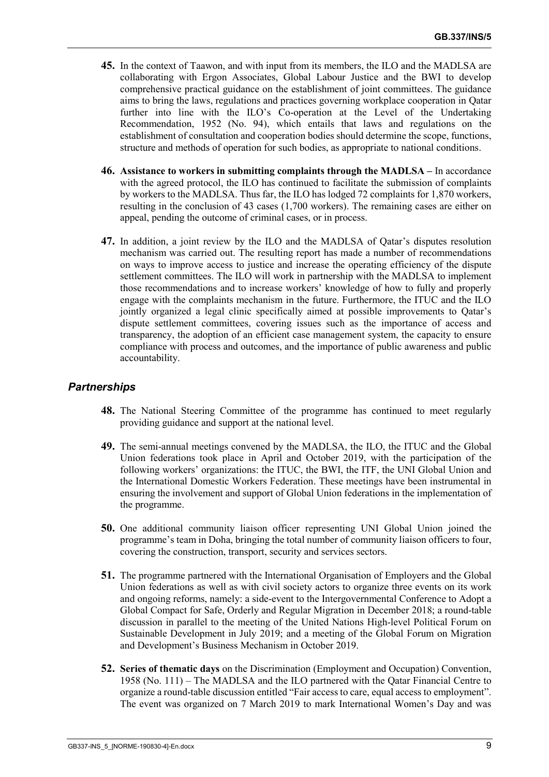- **45.** In the context of Taawon, and with input from its members, the ILO and the MADLSA are collaborating with Ergon Associates, Global Labour Justice and the BWI to develop comprehensive practical guidance on the establishment of joint committees. The guidance aims to bring the laws, regulations and practices governing workplace cooperation in Qatar further into line with the ILO's Co-operation at the Level of the Undertaking Recommendation, 1952 (No. 94), which entails that laws and regulations on the establishment of consultation and cooperation bodies should determine the scope, functions, structure and methods of operation for such bodies, as appropriate to national conditions.
- **46. Assistance to workers in submitting complaints through the MADLSA –** In accordance with the agreed protocol, the ILO has continued to facilitate the submission of complaints by workers to the MADLSA. Thus far, the ILO has lodged 72 complaints for 1,870 workers, resulting in the conclusion of 43 cases (1,700 workers). The remaining cases are either on appeal, pending the outcome of criminal cases, or in process.
- **47.** In addition, a joint review by the ILO and the MADLSA of Qatar's disputes resolution mechanism was carried out. The resulting report has made a number of recommendations on ways to improve access to justice and increase the operating efficiency of the dispute settlement committees. The ILO will work in partnership with the MADLSA to implement those recommendations and to increase workers' knowledge of how to fully and properly engage with the complaints mechanism in the future. Furthermore, the ITUC and the ILO jointly organized a legal clinic specifically aimed at possible improvements to Qatar's dispute settlement committees, covering issues such as the importance of access and transparency, the adoption of an efficient case management system, the capacity to ensure compliance with process and outcomes, and the importance of public awareness and public accountability.

#### *Partnerships*

- **48.** The National Steering Committee of the programme has continued to meet regularly providing guidance and support at the national level.
- **49.** The semi-annual meetings convened by the MADLSA, the ILO, the ITUC and the Global Union federations took place in April and October 2019, with the participation of the following workers' organizations: the ITUC, the BWI, the ITF, the UNI Global Union and the International Domestic Workers Federation. These meetings have been instrumental in ensuring the involvement and support of Global Union federations in the implementation of the programme.
- **50.** One additional community liaison officer representing UNI Global Union joined the programme's team in Doha, bringing the total number of community liaison officers to four, covering the construction, transport, security and services sectors.
- **51.** The programme partnered with the International Organisation of Employers and the Global Union federations as well as with civil society actors to organize three events on its work and ongoing reforms, namely: a side-event to the Intergovernmental Conference to Adopt a Global Compact for Safe, Orderly and Regular Migration in December 2018; a round-table discussion in parallel to the meeting of the United Nations High-level Political Forum on Sustainable Development in July 2019; and a meeting of the Global Forum on Migration and Development's Business Mechanism in October 2019.
- **52. Series of thematic days** on the Discrimination (Employment and Occupation) Convention, 1958 (No. 111) – The MADLSA and the ILO partnered with the Qatar Financial Centre to organize a round-table discussion entitled "Fair access to care, equal access to employment". The event was organized on 7 March 2019 to mark International Women's Day and was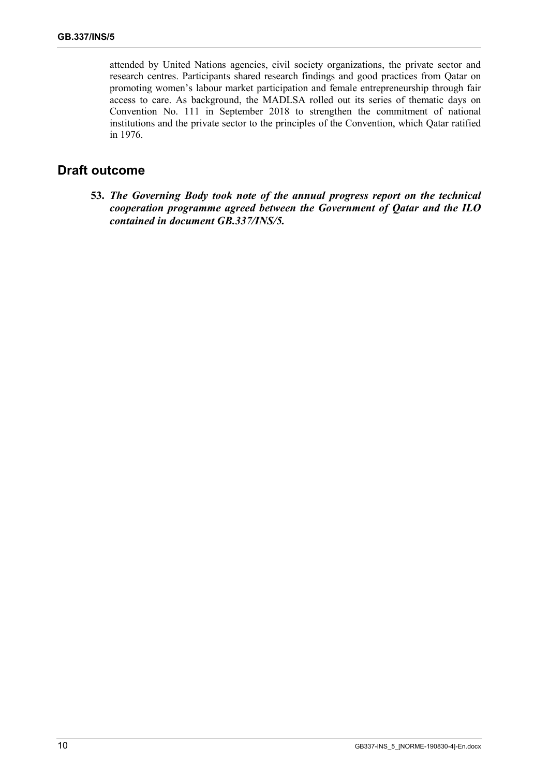attended by United Nations agencies, civil society organizations, the private sector and research centres. Participants shared research findings and good practices from Qatar on promoting women's labour market participation and female entrepreneurship through fair access to care. As background, the MADLSA rolled out its series of thematic days on Convention No. 111 in September 2018 to strengthen the commitment of national institutions and the private sector to the principles of the Convention, which Qatar ratified in 1976.

## **Draft outcome**

**53.** *The Governing Body took note of the annual progress report on the technical cooperation programme agreed between the Government of Qatar and the ILO contained in document GB.337/INS/5.*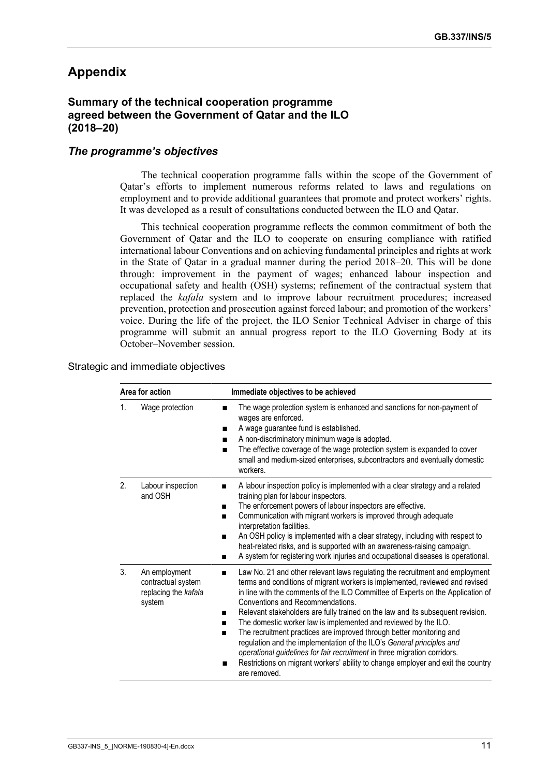# **Appendix**

#### **Summary of the technical cooperation programme agreed between the Government of Qatar and the ILO (2018–20)**

#### *The programme's objectives*

The technical cooperation programme falls within the scope of the Government of Qatar's efforts to implement numerous reforms related to laws and regulations on employment and to provide additional guarantees that promote and protect workers' rights. It was developed as a result of consultations conducted between the ILO and Qatar.

This technical cooperation programme reflects the common commitment of both the Government of Qatar and the ILO to cooperate on ensuring compliance with ratified international labour Conventions and on achieving fundamental principles and rights at work in the State of Qatar in a gradual manner during the period 2018–20. This will be done through: improvement in the payment of wages; enhanced labour inspection and occupational safety and health (OSH) systems; refinement of the contractual system that replaced the *kafala* system and to improve labour recruitment procedures; increased prevention, protection and prosecution against forced labour; and promotion of the workers' voice. During the life of the project, the ILO Senior Technical Adviser in charge of this programme will submit an annual progress report to the ILO Governing Body at its October–November session.

#### Strategic and immediate objectives

| Area for action |                                                                       | Immediate objectives to be achieved                                                                                                                                                                                                                                                                                                                                                                                                                                                                                                                                                                                                                                                                                                                                              |
|-----------------|-----------------------------------------------------------------------|----------------------------------------------------------------------------------------------------------------------------------------------------------------------------------------------------------------------------------------------------------------------------------------------------------------------------------------------------------------------------------------------------------------------------------------------------------------------------------------------------------------------------------------------------------------------------------------------------------------------------------------------------------------------------------------------------------------------------------------------------------------------------------|
| 1.              | Wage protection                                                       | The wage protection system is enhanced and sanctions for non-payment of<br>п<br>wages are enforced.<br>A wage guarantee fund is established.<br>п<br>A non-discriminatory minimum wage is adopted.<br>$\blacksquare$<br>The effective coverage of the wage protection system is expanded to cover<br>$\blacksquare$<br>small and medium-sized enterprises, subcontractors and eventually domestic<br>workers.                                                                                                                                                                                                                                                                                                                                                                    |
| 2.              | Labour inspection<br>and OSH                                          | A labour inspection policy is implemented with a clear strategy and a related<br>■<br>training plan for labour inspectors.<br>The enforcement powers of labour inspectors are effective.<br>Communication with migrant workers is improved through adequate<br>interpretation facilities.<br>An OSH policy is implemented with a clear strategy, including with respect to<br>■<br>heat-related risks, and is supported with an awareness-raising campaign.<br>A system for registering work injuries and occupational diseases is operational.<br>■                                                                                                                                                                                                                             |
| 3.              | An employment<br>contractual system<br>replacing the kafala<br>system | Law No. 21 and other relevant laws regulating the recruitment and employment<br>■<br>terms and conditions of migrant workers is implemented, reviewed and revised<br>in line with the comments of the ILO Committee of Experts on the Application of<br>Conventions and Recommendations.<br>Relevant stakeholders are fully trained on the law and its subsequent revision.<br>The domestic worker law is implemented and reviewed by the ILO.<br>The recruitment practices are improved through better monitoring and<br>regulation and the implementation of the ILO's General principles and<br>operational guidelines for fair recruitment in three migration corridors.<br>Restrictions on migrant workers' ability to change employer and exit the country<br>are removed. |